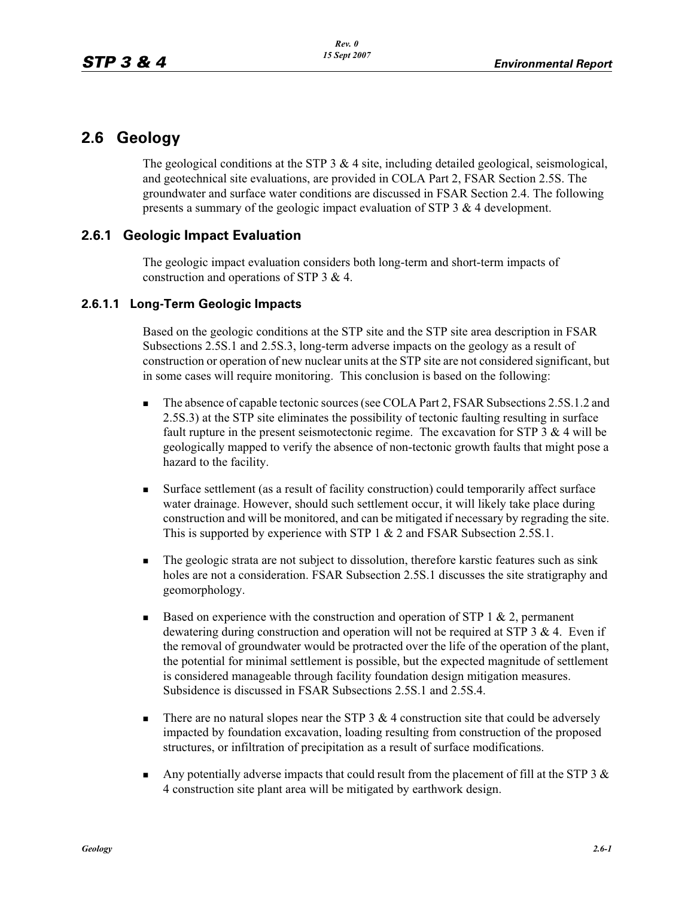## **2.6 Geology**

The geological conditions at the STP  $3 \& 4$  site, including detailed geological, seismological, and geotechnical site evaluations, are provided in COLA Part 2, FSAR Section 2.5S. The groundwater and surface water conditions are discussed in FSAR Section 2.4. The following presents a summary of the geologic impact evaluation of STP 3 & 4 development.

## **2.6.1 Geologic Impact Evaluation**

The geologic impact evaluation considers both long-term and short-term impacts of construction and operations of STP 3 & 4.

## **2.6.1.1 Long-Term Geologic Impacts**

Based on the geologic conditions at the STP site and the STP site area description in FSAR Subsections 2.5S.1 and 2.5S.3, long-term adverse impacts on the geology as a result of construction or operation of new nuclear units at the STP site are not considered significant, but in some cases will require monitoring. This conclusion is based on the following:

- - The absence of capable tectonic sources (see COLA Part 2, FSAR Subsections 2.5S.1.2 and 2.5S.3) at the STP site eliminates the possibility of tectonic faulting resulting in surface fault rupture in the present seismotectonic regime. The excavation for STP 3  $& 4$  will be geologically mapped to verify the absence of non-tectonic growth faults that might pose a hazard to the facility.
- - Surface settlement (as a result of facility construction) could temporarily affect surface water drainage. However, should such settlement occur, it will likely take place during construction and will be monitored, and can be mitigated if necessary by regrading the site. This is supported by experience with STP 1 & 2 and FSAR Subsection 2.5S.1.
- - The geologic strata are not subject to dissolution, therefore karstic features such as sink holes are not a consideration. FSAR Subsection 2.5S.1 discusses the site stratigraphy and geomorphology.
- - Based on experience with the construction and operation of STP 1 & 2, permanent dewatering during construction and operation will not be required at STP  $3 \& 4$ . Even if the removal of groundwater would be protracted over the life of the operation of the plant, the potential for minimal settlement is possible, but the expected magnitude of settlement is considered manageable through facility foundation design mitigation measures. Subsidence is discussed in FSAR Subsections 2.5S.1 and 2.5S.4.
- -There are no natural slopes near the STP  $3 \& 4$  construction site that could be adversely impacted by foundation excavation, loading resulting from construction of the proposed structures, or infiltration of precipitation as a result of surface modifications.
- Any potentially adverse impacts that could result from the placement of fill at the STP 3  $\&$ 4 construction site plant area will be mitigated by earthwork design.